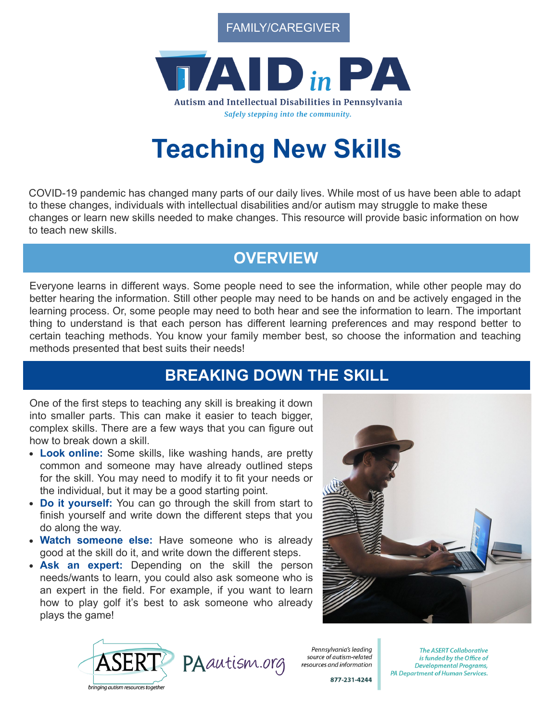FAMILY/CAREGIVER



# **Teaching New Skills**

COVID-19 pandemic has changed many parts of our daily lives. While most of us have been able to adapt to these changes, individuals with intellectual disabilities and/or autism may struggle to make these changes or learn new skills needed to make changes. This resource will provide basic information on how to teach new skills.

## **OVERVIEW**

Everyone learns in different ways. Some people need to see the information, while other people may do better hearing the information. Still other people may need to be hands on and be actively engaged in the learning process. Or, some people may need to both hear and see the information to learn. The important thing to understand is that each person has different learning preferences and may respond better to certain teaching methods. You know your family member best, so choose the information and teaching methods presented that best suits their needs!

### **BREAKING DOWN THE SKILL**

One of the first steps to teaching any skill is breaking it down into smaller parts. This can make it easier to teach bigger, complex skills. There are a few ways that you can figure out how to break down a skill.

- **Look online:** Some skills, like washing hands, are pretty common and someone may have already outlined steps for the skill. You may need to modify it to fit your needs or the individual, but it may be a good starting point.
- **Do it yourself:** You can go through the skill from start to finish yourself and write down the different steps that you do along the way.
- **Watch someone else:** Have someone who is already good at the skill do it, and write down the different steps.
- **Ask an expert:** Depending on the skill the person needs/wants to learn, you could also ask someone who is an expert in the field. For example, if you want to learn how to play golf it's best to ask someone who already plays the game!





Pennsylvania's leading source of autism-related resources and information

877-231-4244

**The ASERT Collaborative** is funded by the Office of **Developmental Programs, PA Department of Human Services.**